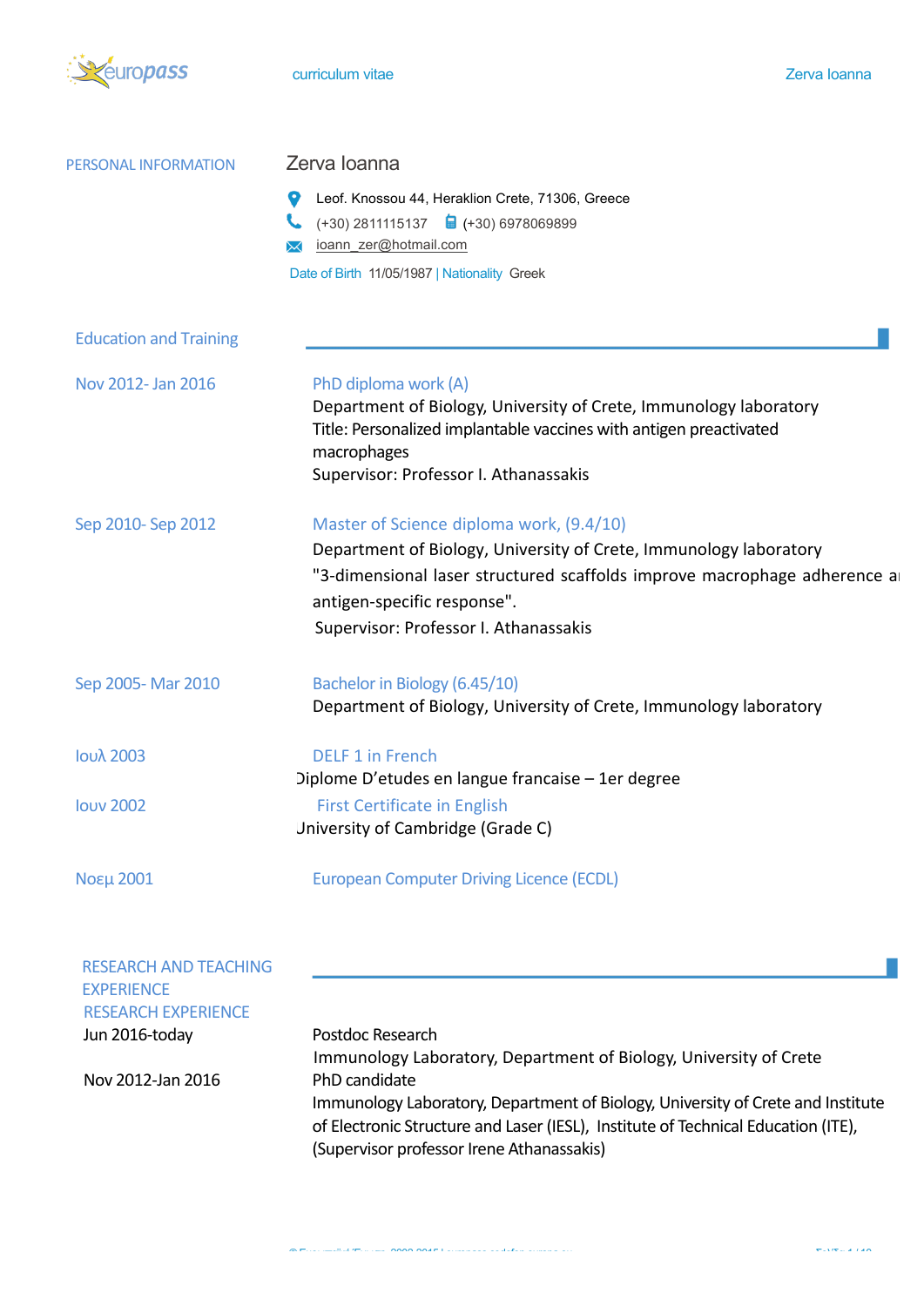

| PERSONAL INFORMATION                                                                                                   | Zerva Ioanna                                                                                                                                                                                                                                                                   |  |  |
|------------------------------------------------------------------------------------------------------------------------|--------------------------------------------------------------------------------------------------------------------------------------------------------------------------------------------------------------------------------------------------------------------------------|--|--|
|                                                                                                                        | Leof. Knossou 44, Heraklion Crete, 71306, Greece<br>$(+30)$ 2811115137 $\qquad \qquad \Box$ (+30) 6978069899<br>ioann zer@hotmail.com<br>Date of Birth 11/05/1987   Nationality Greek                                                                                          |  |  |
| <b>Education and Training</b>                                                                                          |                                                                                                                                                                                                                                                                                |  |  |
| Nov 2012- Jan 2016                                                                                                     | PhD diploma work (A)<br>Department of Biology, University of Crete, Immunology laboratory<br>Title: Personalized implantable vaccines with antigen preactivated<br>macrophages<br>Supervisor: Professor I. Athanassakis                                                        |  |  |
| Sep 2010-Sep 2012                                                                                                      | Master of Science diploma work, (9.4/10)<br>Department of Biology, University of Crete, Immunology laboratory<br>"3-dimensional laser structured scaffolds improve macrophage adherence a<br>antigen-specific response".<br>Supervisor: Professor I. Athanassakis              |  |  |
| Sep 2005-Mar 2010                                                                                                      | Bachelor in Biology (6.45/10)<br>Department of Biology, University of Crete, Immunology laboratory                                                                                                                                                                             |  |  |
| Ιουλ 2003                                                                                                              | <b>DELF 1 in French</b><br>Diplome D'etudes en langue francaise – 1 er degree                                                                                                                                                                                                  |  |  |
| <b>louv 2002</b>                                                                                                       | <b>First Certificate in English</b><br>University of Cambridge (Grade C)                                                                                                                                                                                                       |  |  |
| Νοεμ 2001                                                                                                              | <b>European Computer Driving Licence (ECDL)</b>                                                                                                                                                                                                                                |  |  |
| <b>RESEARCH AND TEACHING</b><br><b>EXPERIENCE</b><br><b>RESEARCH EXPERIENCE</b><br>Jun 2016-today<br>Nov 2012-Jan 2016 | Postdoc Research<br>Immunology Laboratory, Department of Biology, University of Crete<br>PhD candidate<br>Immunology Laboratory, Department of Biology, University of Crete and Institute<br>of Electronic Structure and Laser (IESL), Institute of Technical Education (ITE), |  |  |

(Supervisor professor Irene Athanassakis)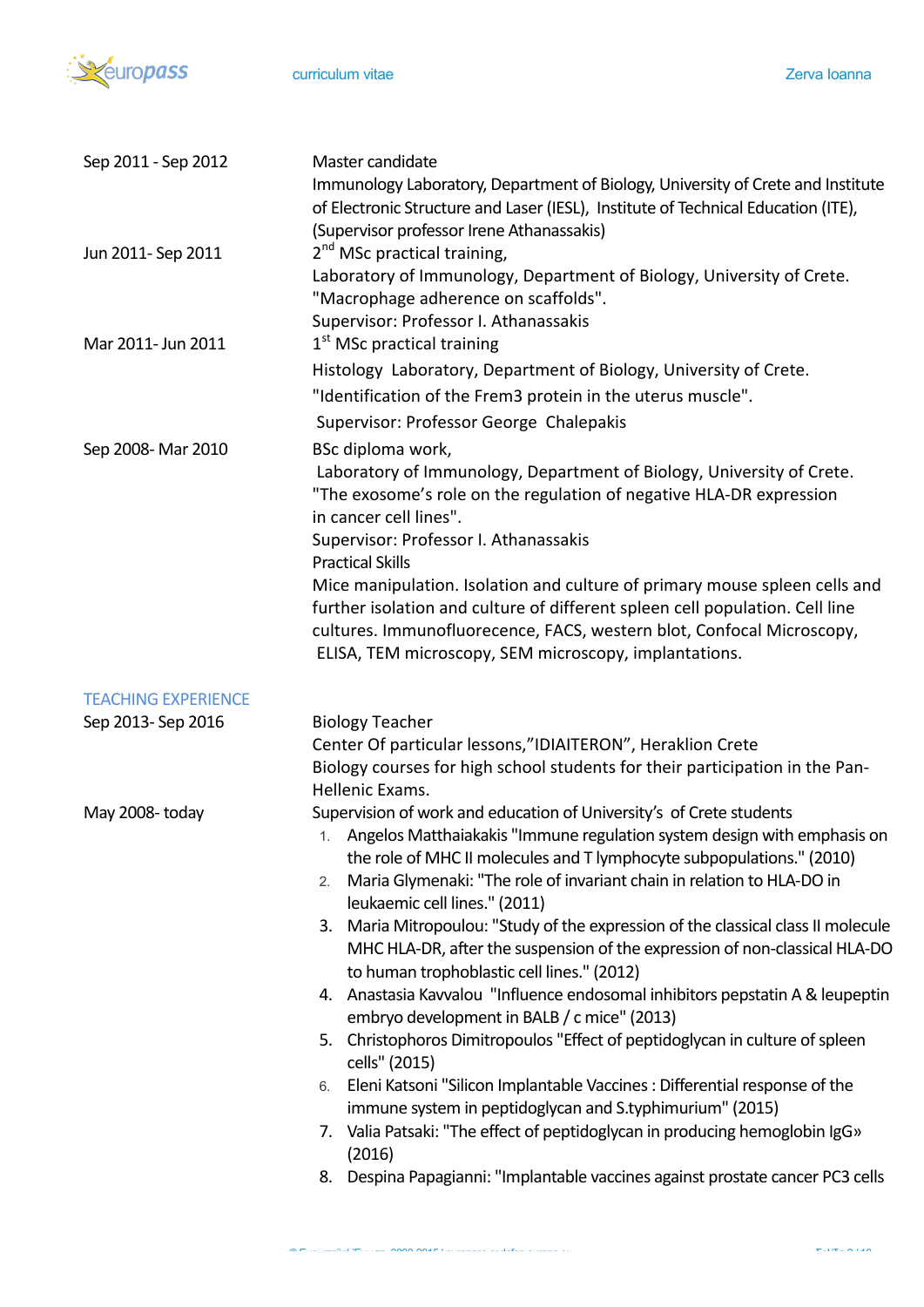

| Sep 2011 - Sep 2012        | Master candidate<br>Immunology Laboratory, Department of Biology, University of Crete and Institute                                                   |
|----------------------------|-------------------------------------------------------------------------------------------------------------------------------------------------------|
|                            | of Electronic Structure and Laser (IESL), Institute of Technical Education (ITE),                                                                     |
|                            | (Supervisor professor Irene Athanassakis)                                                                                                             |
| Jun 2011- Sep 2011         | 2 <sup>nd</sup> MSc practical training,                                                                                                               |
|                            | Laboratory of Immunology, Department of Biology, University of Crete.                                                                                 |
|                            | "Macrophage adherence on scaffolds".                                                                                                                  |
|                            | Supervisor: Professor I. Athanassakis                                                                                                                 |
| Mar 2011- Jun 2011         | $1st$ MSc practical training                                                                                                                          |
|                            | Histology Laboratory, Department of Biology, University of Crete.                                                                                     |
|                            | "Identification of the Frem3 protein in the uterus muscle".                                                                                           |
|                            | Supervisor: Professor George Chalepakis                                                                                                               |
| Sep 2008- Mar 2010         | BSc diploma work,                                                                                                                                     |
|                            | Laboratory of Immunology, Department of Biology, University of Crete.                                                                                 |
|                            | "The exosome's role on the regulation of negative HLA-DR expression                                                                                   |
|                            | in cancer cell lines".                                                                                                                                |
|                            | Supervisor: Professor I. Athanassakis                                                                                                                 |
|                            | <b>Practical Skills</b>                                                                                                                               |
|                            | Mice manipulation. Isolation and culture of primary mouse spleen cells and                                                                            |
|                            | further isolation and culture of different spleen cell population. Cell line                                                                          |
|                            | cultures. Immunofluorecence, FACS, western blot, Confocal Microscopy,                                                                                 |
|                            | ELISA, TEM microscopy, SEM microscopy, implantations.                                                                                                 |
| <b>TEACHING EXPERIENCE</b> |                                                                                                                                                       |
| Sep 2013- Sep 2016         | <b>Biology Teacher</b>                                                                                                                                |
|                            | Center Of particular lessons,"IDIAITERON", Heraklion Crete                                                                                            |
|                            | Biology courses for high school students for their participation in the Pan-                                                                          |
|                            | Hellenic Exams.                                                                                                                                       |
| May 2008-today             | Supervision of work and education of University's of Crete students                                                                                   |
|                            | 1. Angelos Matthaiakakis "Immune regulation system design with emphasis on                                                                            |
|                            | the role of MHC II molecules and T lymphocyte subpopulations." (2010)<br>Maria Glymenaki: "The role of invariant chain in relation to HLA-DO in<br>2. |
|                            | leukaemic cell lines." (2011)                                                                                                                         |
|                            | 3. Maria Mitropoulou: "Study of the expression of the classical class II molecule                                                                     |
|                            | MHC HLA-DR, after the suspension of the expression of non-classical HLA-DO                                                                            |
|                            | to human trophoblastic cell lines." (2012)                                                                                                            |
|                            | 4. Anastasia Kavvalou "Influence endosomal inhibitors pepstatin A & leupeptin                                                                         |
|                            | embryo development in BALB / c mice" (2013)                                                                                                           |
|                            | 5. Christophoros Dimitropoulos "Effect of peptidoglycan in culture of spleen                                                                          |
|                            | cells" (2015)                                                                                                                                         |
|                            | Eleni Katsoni "Silicon Implantable Vaccines : Differential response of the<br>6.                                                                      |
|                            | immune system in peptidoglycan and S.typhimurium" (2015)                                                                                              |
|                            | 7. Valia Patsaki: "The effect of peptidoglycan in producing hemoglobin IgG»                                                                           |
|                            | (2016)                                                                                                                                                |
|                            | Despina Papagianni: "Implantable vaccines against prostate cancer PC3 cells<br>8.                                                                     |
|                            |                                                                                                                                                       |

© Ευρωπαϊκή Ένωση, 2002-2015 | europass.cedefop.europa.eu Σελίδα 2 / 10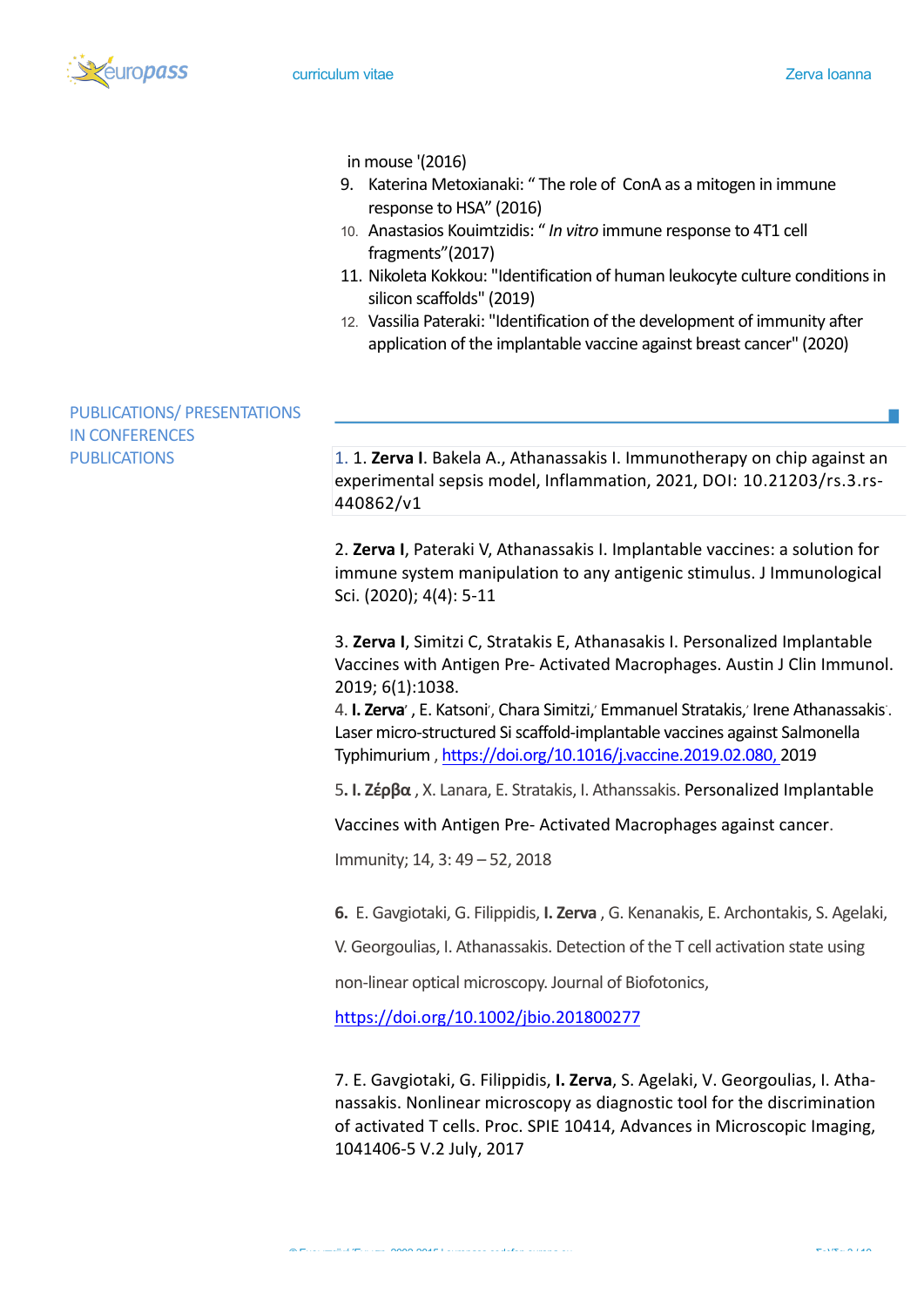

### in mouse '(2016)

- 9. Katerina Metoxianaki: " The role of ConA as a mitogen in immune response to HSA" (2016)
- 10. Anastasios Kouimtzidis: " In vitro immune response to 4T1 cell fragments"(2017)
- 11. Nikoleta Kokkou: "Identification of human leukocyte culture conditions in silicon scaffolds" (2019)
- 12. Vassilia Pateraki: "Identification of the development of immunity after application of the implantable vaccine against breast cancer" (2020)

# PUBLICATIONS/ PRESENTATIONS **IN CONFERENCES**

PUBLICATIONS 1. 1. **Zerva I.** Bakela A., Athanassakis I. Immunotherapy on chip against an experimental sepsis model, Inflammation, 2021, DOI: 10.21203/rs.3.rs-440862/v1

> 2. Zerva I, Pateraki V, Athanassakis I. Implantable vaccines: a solution for immune system manipulation to any antigenic stimulus. J Immunological Sci. (2020); 4(4): 5-11

3. Zerva I, Simitzi C, Stratakis E, Athanasakis I. Personalized Implantable Vaccines with Antigen Pre- Activated Macrophages. Austin J Clin Immunol. 2019; 6(1):1038.

4. **I. Zerva**', E. Katsoni', Chara Simitzi,' Emmanuel Stratakis,' Irene Athanassakis'. Laser micro-structured Si scaffold-implantable vaccines against Salmonella Typhimurium , https://doi.org/10.1016/j.vaccine.2019.02.080, 2019

**5. Ι. Ζέρβα**, X. Lanara, E. Stratakis, I. Athanssakis. Personalized Implantable

Vaccines with Antigen Pre- Activated Macrophages against cancer.

Immunity; 14, 3: 49 – 52, 2018

**6.** E. Gavgiotaki, G. Filippidis, **I. Zerva**, G. Kenanakis, E. Archontakis, S. Agelaki,

V. Georgoulias, I. Athanassakis. Detection of the T cell activation state using

non-linear optical microscopy. Journal of Biofotonics,

https://doi.org/10.1002/jbio.201800277

7. E. Gavgiotaki, G. Filippidis, I. Zerva, S. Agelaki, V. Georgoulias, I. Athanassakis. Nonlinear microscopy as diagnostic tool for the discrimination of activated T cells. Proc. SPIE 10414, Advances in Microscopic Imaging, 1041406-5 V.2 July, 2017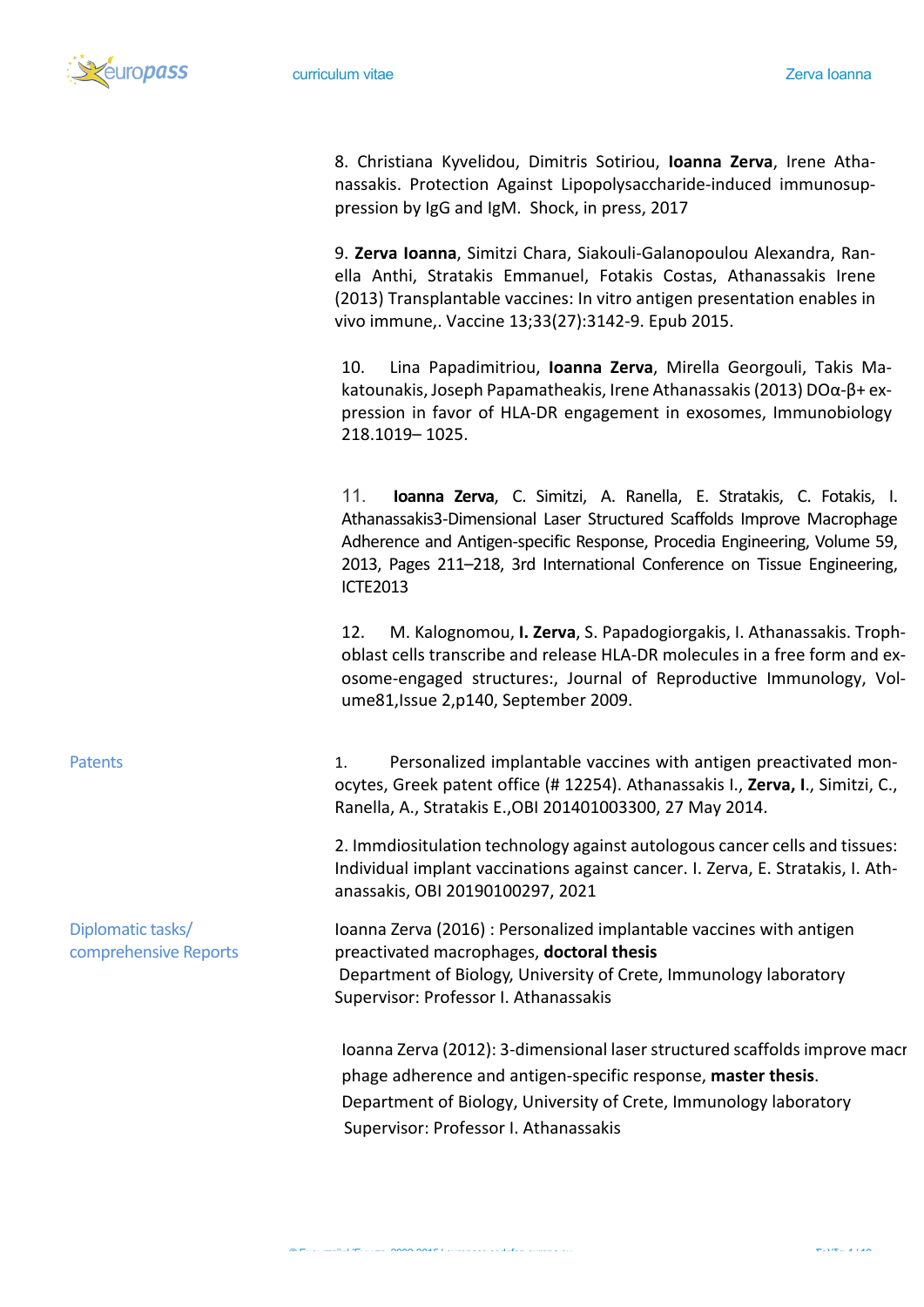

8. Christiana Kyvelidou, Dimitris Sotiriou, **Ioanna Zerva**, Irene Athanassakis. Protection Against Lipopolysaccharide-induced immunosuppression by IgG and IgM. Shock, in press, 2017

9. Zerva Ioanna, Simitzi Chara, Siakouli-Galanopoulou Alexandra, Ranella Anthi, Stratakis Emmanuel, Fotakis Costas, Athanassakis Irene (2013) Transplantable vaccines: In vitro antigen presentation enables in vivo immune,. Vaccine 13;33(27):3142-9. Epub 2015.

10. Lina Papadimitriou, **Ioanna Zerva**, Mirella Georgouli, Takis Makatounakis, Joseph Papamatheakis, Irene Athanassakis (2013) DOα-β+ expression in favor of HLA-DR engagement in exosomes, Immunobiology 218.1019– 1025.

11. **Ioanna Zerva**, C. Simitzi, A. Ranella, E. Stratakis, C. Fotakis, I. Athanassakis3-Dimensional Laser Structured Scaffolds Improve Macrophage Adherence and Antigen-specific Response, Procedia Engineering, Volume 59, 2013, Pages 211–218, 3rd International Conference on Tissue Engineering, ICTE2013

12. M. Kalognomou, **I. Zerva**, S. Papadogiorgakis, I. Athanassakis. Trophoblast cells transcribe and release HLA-DR molecules in a free form and exosome-engaged structures:, Journal of Reproductive Immunology, Volume81, Issue 2, p140, September 2009.

Patents 1. Personalized implantable vaccines with antigen preactivated monocytes, Greek patent office (# 12254). Athanassakis I., Zerva, I., Simitzi, C., Ranella, A., Stratakis E., OBI 201401003300, 27 May 2014.

> 2. Immdiositulation technology against autologous cancer cells and tissues: Individual implant vaccinations against cancer. I. Zerva, E. Stratakis, I. Athanassakis, OBI 20190100297, 2021

Ioanna Zerva (2016) : Personalized implantable vaccines with antigen preactivated macrophages, **doctoral thesis** Department of Biology, University of Crete, Immunology laboratory Supervisor: Professor I. Athanassakis

Ioanna Zerva (2012): 3-dimensional laser structured scaffolds improve macr phage adherence and antigen-specific response, master thesis. Department of Biology, University of Crete, Immunology laboratory Supervisor: Professor I. Athanassakis

Diplomatic tasks/ comprehensive Reports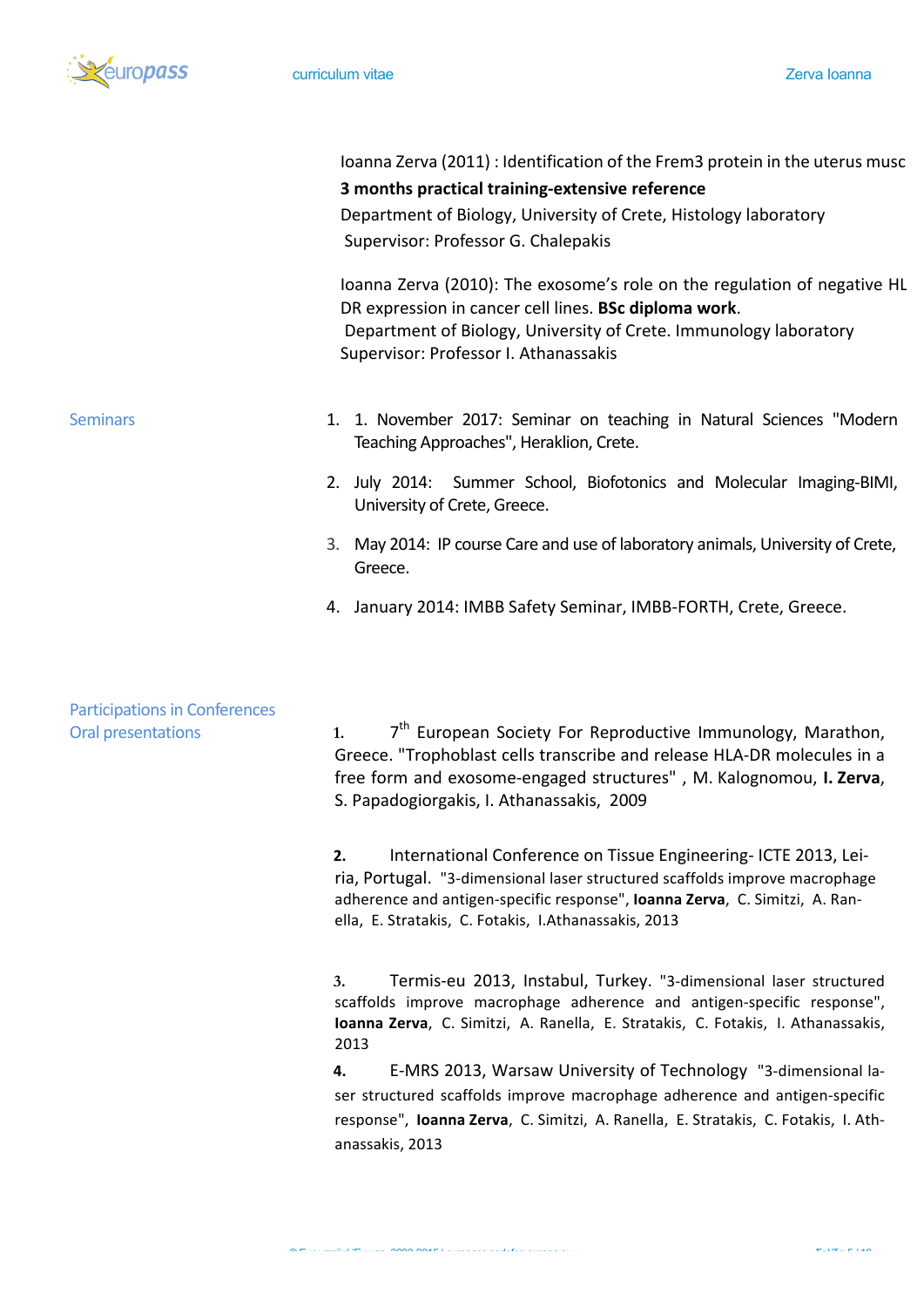

|                                      | Ioanna Zerva (2011) : Identification of the Frem3 protein in the uterus musc<br>3 months practical training-extensive reference<br>Department of Biology, University of Crete, Histology laboratory<br>Supervisor: Professor G. Chalepakis                                   |
|--------------------------------------|------------------------------------------------------------------------------------------------------------------------------------------------------------------------------------------------------------------------------------------------------------------------------|
|                                      | Ioanna Zerva (2010): The exosome's role on the regulation of negative HL<br>DR expression in cancer cell lines. BSc diploma work.<br>Department of Biology, University of Crete. Immunology laboratory<br>Supervisor: Professor I. Athanassakis                              |
| <b>Seminars</b>                      | 1. 1. November 2017: Seminar on teaching in Natural Sciences "Modern<br>Teaching Approaches", Heraklion, Crete.                                                                                                                                                              |
|                                      | 2. July 2014: Summer School, Biofotonics and Molecular Imaging-BIMI,<br>University of Crete, Greece.                                                                                                                                                                         |
|                                      | 3. May 2014: IP course Care and use of laboratory animals, University of Crete,<br>Greece.                                                                                                                                                                                   |
|                                      | 4. January 2014: IMBB Safety Seminar, IMBB-FORTH, Crete, Greece.                                                                                                                                                                                                             |
| <b>Participations in Conferences</b> |                                                                                                                                                                                                                                                                              |
| <b>Oral presentations</b>            | 7 <sup>th</sup> European Society For Reproductive Immunology, Marathon,<br>1.<br>Greece. "Trophoblast cells transcribe and release HLA-DR molecules in a<br>free form and exosome-engaged structures", M. Kalognomou, I. Zerva,<br>S. Papadogiorgakis, I. Athanassakis, 2009 |

**2.** International Conference on Tissue Engineering-ICTE 2013, Leiria, Portugal. "3-dimensional laser structured scaffolds improve macrophage adherence and antigen-specific response", **Ioanna Zerva**, C. Simitzi, A. Ranella, E. Stratakis, C. Fotakis, I.Athanassakis, 2013

3. Termis-eu 2013, Instabul, Turkey. "3-dimensional laser structured scaffolds improve macrophage adherence and antigen-specific response", **Ioanna Zerva**, C. Simitzi, A. Ranella, E. Stratakis, C. Fotakis, I. Athanassakis, 2013

4. E-MRS 2013, Warsaw University of Technology "3-dimensional laser structured scaffolds improve macrophage adherence and antigen-specific response", **Ioanna Zerva**, C. Simitzi, A. Ranella, E. Stratakis, C. Fotakis, I. Athanassakis, 2013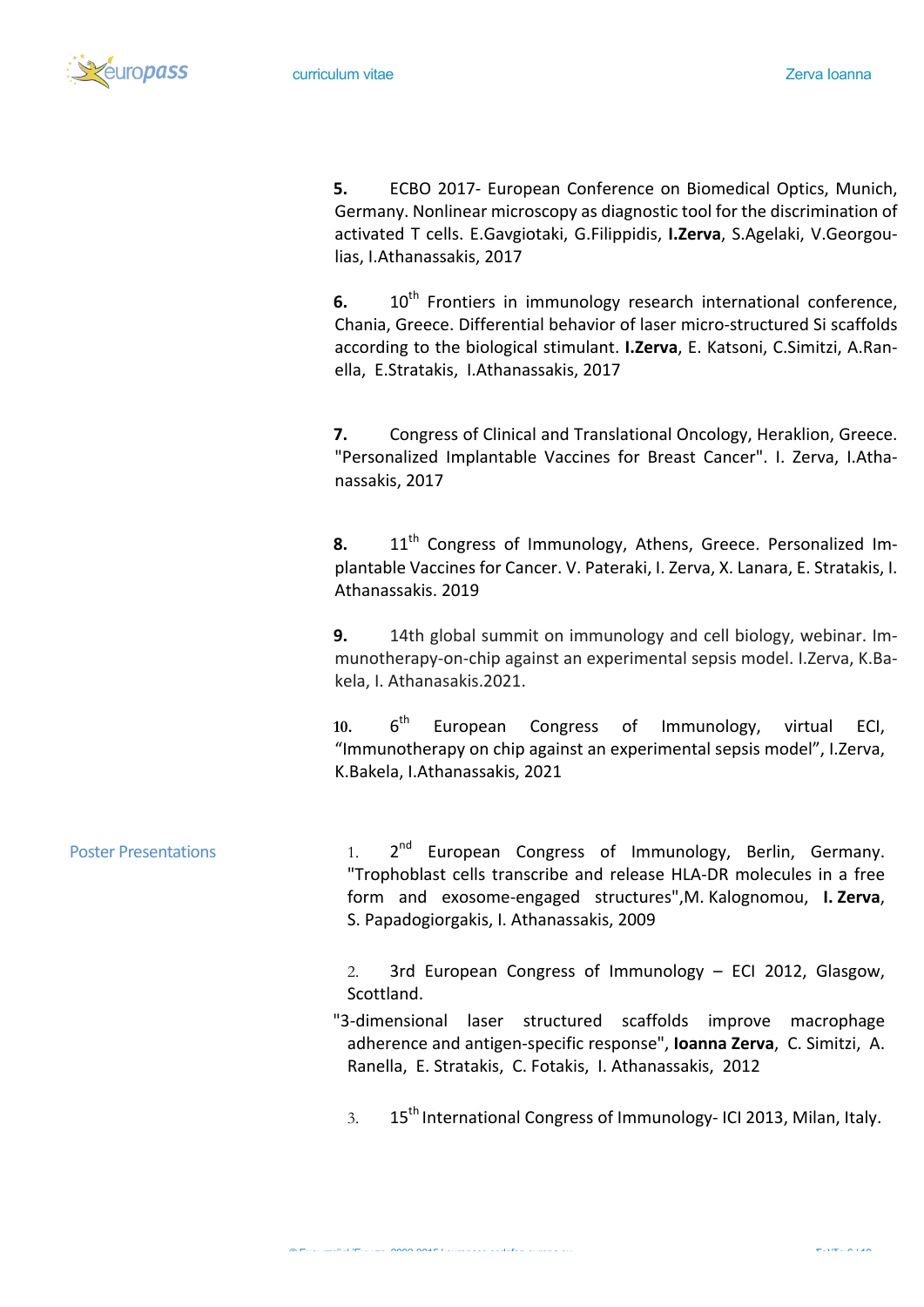éuro*pass* 

**5.** ECBO 2017- European Conference on Biomedical Optics, Munich, Germany. Nonlinear microscopy as diagnostic tool for the discrimination of activated T cells. E.Gavgiotaki, G.Filippidis, I.Zerva, S.Agelaki, V.Georgoulias, I.Athanassakis, 2017

**6.** 10<sup>th</sup> Frontiers in immunology research international conference, Chania, Greece. Differential behavior of laser micro-structured Si scaffolds according to the biological stimulant. **I.Zerva**, E. Katsoni, C.Simitzi, A.Ranella, E.Stratakis, I.Athanassakis, 2017

**7.** Congress of Clinical and Translational Oncology, Heraklion, Greece. "Personalized Implantable Vaccines for Breast Cancer". I. Zerva, I.Athanassakis, 2017

8. 11<sup>th</sup> Congress of Immunology, Athens, Greece. Personalized Implantable Vaccines for Cancer. V. Pateraki, I. Zerva, X. Lanara, E. Stratakis, I. Athanassakis. 2019

**9.** 14th global summit on immunology and cell biology, webinar. Immunotherapy-on-chip against an experimental sepsis model. I.Zerva, K.Bakela, I. Athanasakis. 2021.

10. 6<sup>th</sup> European Congress of Immunology, virtual ECI, "Immunotherapy on chip against an experimental sepsis model", I.Zerva, K.Bakela, I.Athanassakis, 2021

Poster Presentations  $1.$   $2^{nd}$  European Congress of Immunology, Berlin, Germany. "Trophoblast cells transcribe and release HLA-DR molecules in a free form and exosome-engaged structures",M. Kalognomou, **I. Zerva**, S. Papadogiorgakis, I. Athanassakis, 2009

> 2. 3rd European Congress of Immunology  $-$  ECI 2012, Glasgow, Scottland.

"3-dimensional laser structured scaffolds improve macrophage adherence and antigen-specific response", **Ioanna Zerva**, C. Simitzi, A. Ranella, E. Stratakis, C. Fotakis, I. Athanassakis, 2012

3.  $15<sup>th</sup>$  International Congress of Immunology- ICI 2013, Milan, Italy.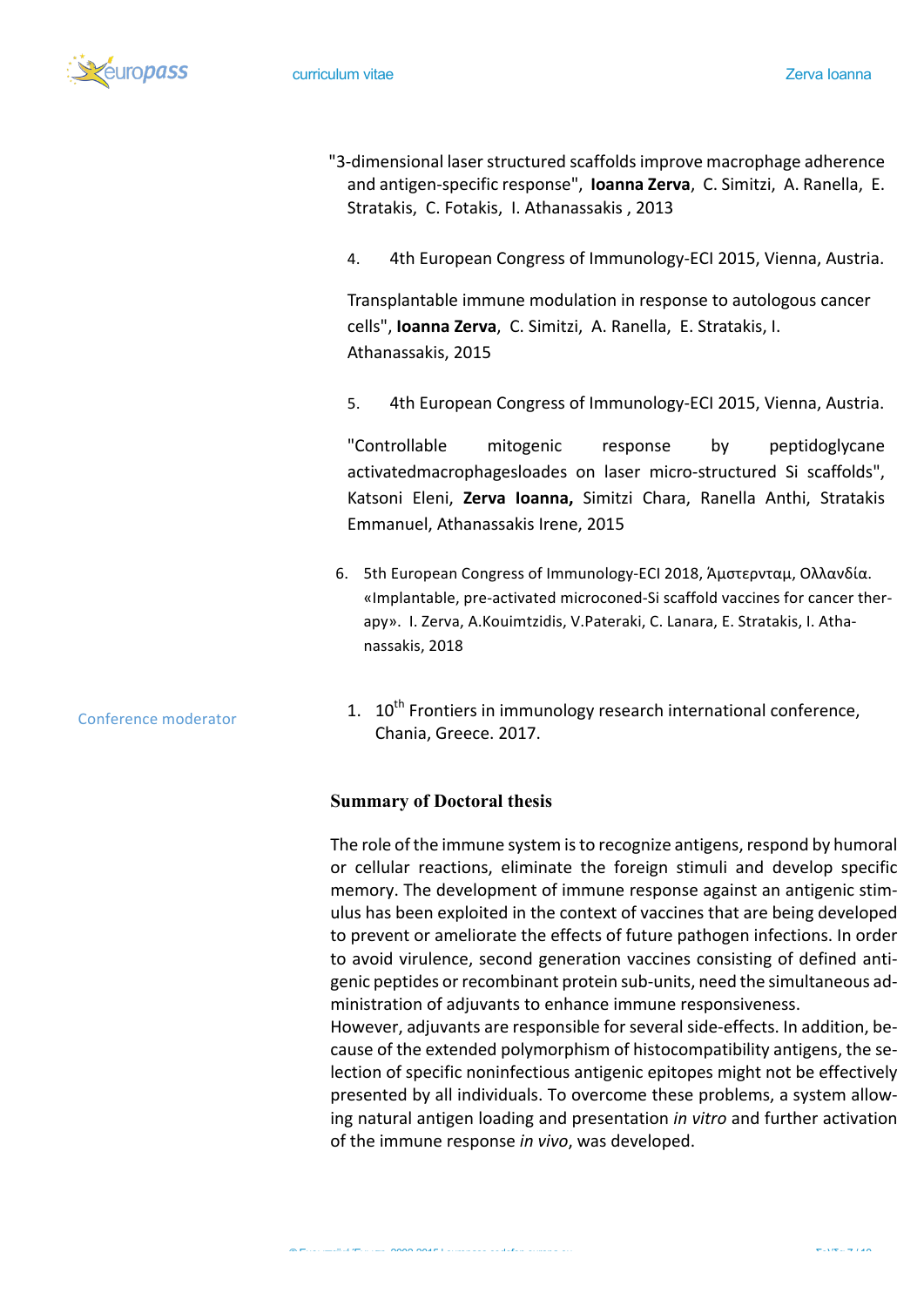

- "3-dimensional laser structured scaffolds improve macrophage adherence and antigen-specific response", **Ioanna Zerva**, C. Simitzi, A. Ranella, E. Stratakis, C. Fotakis, I. Athanassakis, 2013
	- 4. 4th European Congress of Immunology-ECI 2015, Vienna, Austria.

Transplantable immune modulation in response to autologous cancer cells", **Ioanna Zerva**, C. Simitzi, A. Ranella, E. Stratakis, I. Athanassakis, 2015

5. 4th European Congress of Immunology-ECI 2015, Vienna, Austria.

"Controllable mitogenic response by peptidoglycane activatedmacrophagesloades on laser micro-structured Si scaffolds", Katsoni Eleni, Zerva Ioanna, Simitzi Chara, Ranella Anthi, Stratakis Emmanuel, Athanassakis Irene, 2015

6. 5th European Congress of Immunology-ECI 2018, Άμστερνταμ, Ολλανδία. «Implantable, pre-activated microconed-Si scaffold vaccines for cancer therapy». I. Zerva, A.Kouimtzidis, V.Pateraki, C. Lanara, E. Stratakis, I. Athanassakis, 2018 

#### Conference moderator

1.  $10^{th}$  Frontiers in immunology research international conference, Chania, Greece. 2017.

#### **Summary of Doctoral thesis**

The role of the immune system is to recognize antigens, respond by humoral or cellular reactions, eliminate the foreign stimuli and develop specific memory. The development of immune response against an antigenic stimulus has been exploited in the context of vaccines that are being developed to prevent or ameliorate the effects of future pathogen infections. In order to avoid virulence, second generation vaccines consisting of defined antigenic peptides or recombinant protein sub-units, need the simultaneous administration of adjuvants to enhance immune responsiveness.

However, adjuvants are responsible for several side-effects. In addition, because of the extended polymorphism of histocompatibility antigens, the selection of specific noninfectious antigenic epitopes might not be effectively presented by all individuals. To overcome these problems, a system allowing natural antigen loading and presentation *in vitro* and further activation of the immune response in vivo, was developed.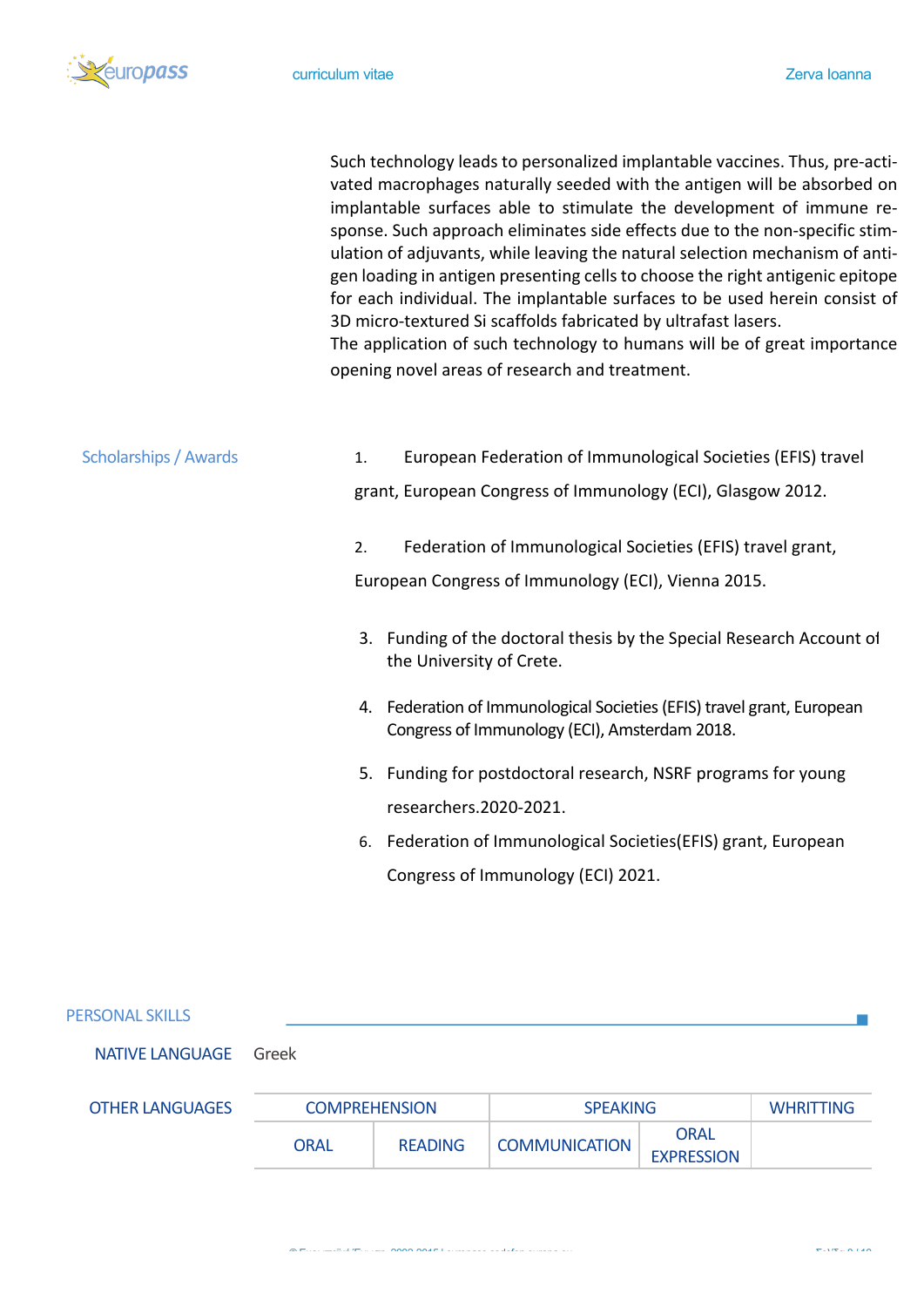

|                              | Such technology leads to personalized implantable vaccines. Thus, pre-acti-<br>vated macrophages naturally seeded with the antigen will be absorbed on<br>implantable surfaces able to stimulate the development of immune re-<br>sponse. Such approach eliminates side effects due to the non-specific stim-<br>ulation of adjuvants, while leaving the natural selection mechanism of anti-<br>gen loading in antigen presenting cells to choose the right antigenic epitope<br>for each individual. The implantable surfaces to be used herein consist of<br>3D micro-textured Si scaffolds fabricated by ultrafast lasers.<br>The application of such technology to humans will be of great importance<br>opening novel areas of research and treatment. |
|------------------------------|--------------------------------------------------------------------------------------------------------------------------------------------------------------------------------------------------------------------------------------------------------------------------------------------------------------------------------------------------------------------------------------------------------------------------------------------------------------------------------------------------------------------------------------------------------------------------------------------------------------------------------------------------------------------------------------------------------------------------------------------------------------|
| <b>Scholarships / Awards</b> | European Federation of Immunological Societies (EFIS) travel<br>1.<br>grant, European Congress of Immunology (ECI), Glasgow 2012.                                                                                                                                                                                                                                                                                                                                                                                                                                                                                                                                                                                                                            |
|                              | Federation of Immunological Societies (EFIS) travel grant,<br>2.<br>European Congress of Immunology (ECI), Vienna 2015.                                                                                                                                                                                                                                                                                                                                                                                                                                                                                                                                                                                                                                      |
|                              | 3. Funding of the doctoral thesis by the Special Research Account of<br>the University of Crete.                                                                                                                                                                                                                                                                                                                                                                                                                                                                                                                                                                                                                                                             |
|                              | 4. Federation of Immunological Societies (EFIS) travel grant, European<br>Congress of Immunology (ECI), Amsterdam 2018.                                                                                                                                                                                                                                                                                                                                                                                                                                                                                                                                                                                                                                      |
|                              | Funding for postdoctoral research, NSRF programs for young<br>5.<br>researchers.2020-2021.                                                                                                                                                                                                                                                                                                                                                                                                                                                                                                                                                                                                                                                                   |
|                              | Federation of Immunological Societies (EFIS) grant, European<br>6.                                                                                                                                                                                                                                                                                                                                                                                                                                                                                                                                                                                                                                                                                           |
|                              | Congress of Immunology (ECI) 2021.                                                                                                                                                                                                                                                                                                                                                                                                                                                                                                                                                                                                                                                                                                                           |

## PERSONAL SKILLS

NATIVE LANGUAGE Greek

| <b>OTHER LANGUAGES</b> | <b>COMPREHENSION</b> |                | <b>SPEAKING</b>      |                                  | WHRITTING |
|------------------------|----------------------|----------------|----------------------|----------------------------------|-----------|
|                        | <b>ORAL</b>          | <b>READING</b> | <b>COMMUNICATION</b> | <b>ORAL</b><br><b>EXPRESSION</b> |           |

 $\mathcal{C}^{\mathcal{A}}$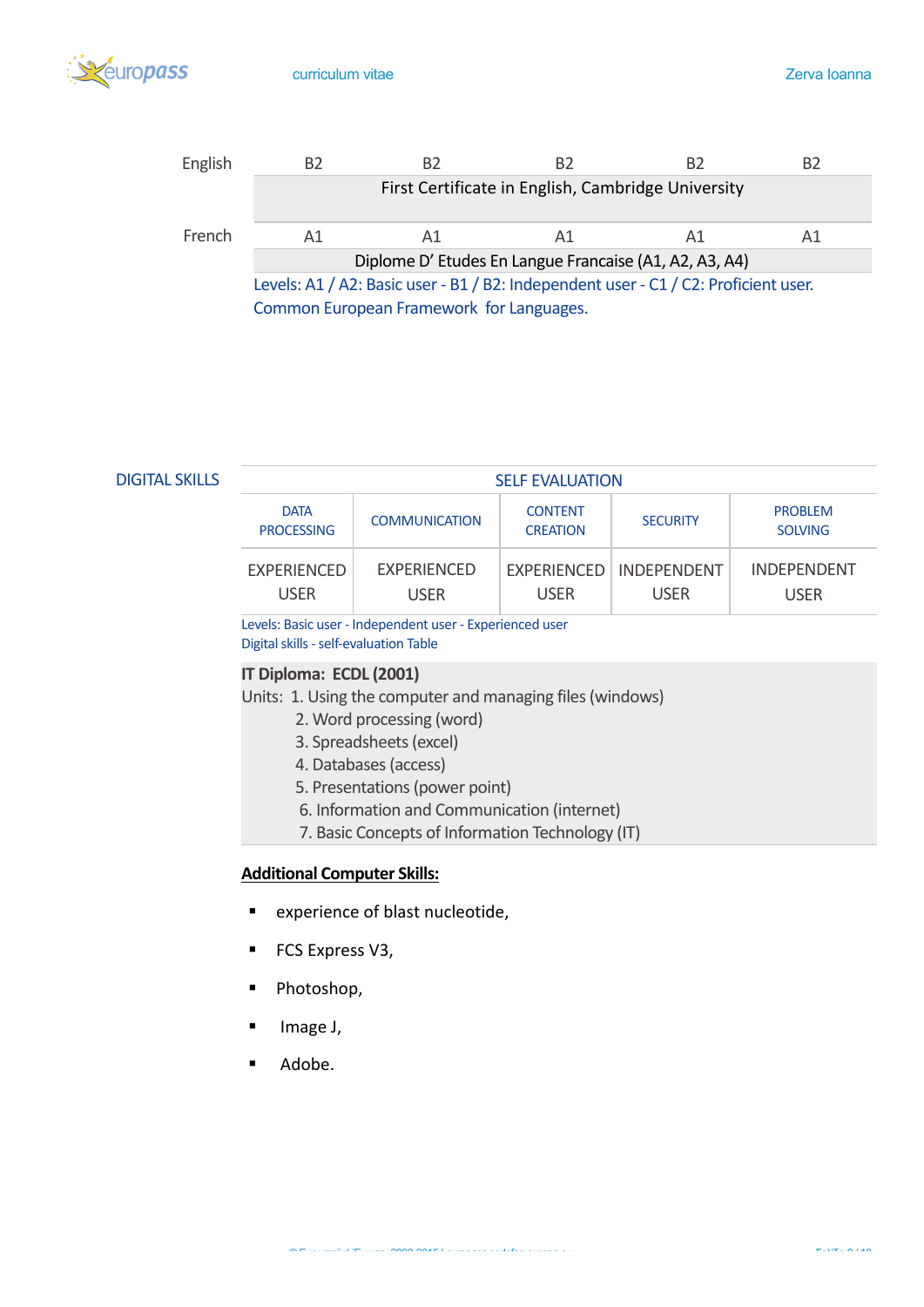



**DIGITAL SKILLS** 

| <b>SELF EVALUATION</b>           |                            |                                   |                                          |                                   |
|----------------------------------|----------------------------|-----------------------------------|------------------------------------------|-----------------------------------|
| <b>DATA</b><br><b>PROCESSING</b> | <b>COMMUNICATION</b>       | <b>CONTENT</b><br><b>CREATION</b> | <b>SECURITY</b>                          | <b>PROBLEM</b><br><b>SOLVING</b>  |
| EXPERIENCED<br><b>USER</b>       | <b>FXPERIENCED</b><br>USER | <b>USER</b>                       | EXPERIENCED   INDEPENDENT<br><b>USER</b> | <b>INDEPENDENT</b><br><b>USER</b> |

Levels: Basic user - Independent user - Experienced user Digital skills - self-evaluation Table

## **IT Diploma: ECDL (2001)**

Units: 1. Using the computer and managing files (windows)

- 2. Word processing (word)
- 3. Spreadsheets (excel)
- 4. Databases (access)
- 5. Presentations (power point)
- 6. Information and Communication (internet)
- 7. Basic Concepts of Information Technology (IT)

## **Additional Computer Skills:**

- experience of blast nucleotide,
- FCS Express V3,
- § Photoshop,

Τ

- § Image J,
- Adobe.